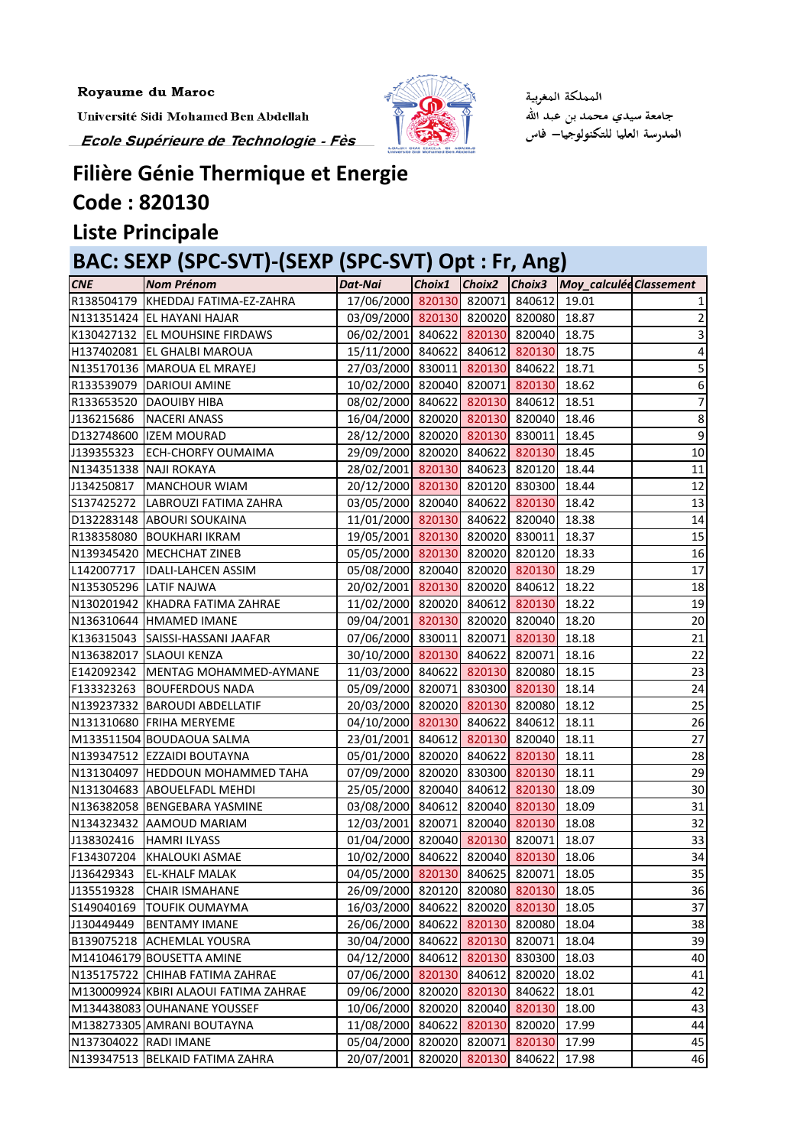Royaume du Maroc

Université Sidi Mohamed Ben Abdellah Ecole Supérieure de Technologie - Fès



المملكة المغوبية جامعة سيدي محمد بن عبد الله المدرسة العليا للتكنولوجيا— فاس

# **Filière Génie Thermique et Energie Code : 820130**

**Liste Principale**

# **BAC: SEXP (SPC-SVT)-(SEXP (SPC-SVT) Opt : Fr, Ang)**

| <b>CNE</b>             | <b>Nom Prénom</b>                     | Dat-Nai                               | Choix1 |        |               | Choix2 Choix3 Moy_calculée Classement |                 |
|------------------------|---------------------------------------|---------------------------------------|--------|--------|---------------|---------------------------------------|-----------------|
|                        | R138504179 KHEDDAJ FATIMA-EZ-ZAHRA    | 17/06/2000 820130 820071 840612 19.01 |        |        |               |                                       |                 |
|                        | N131351424 EL HAYANI HAJAR            | 03/09/2000 820130 820020 820080 18.87 |        |        |               |                                       | 2               |
|                        | K130427132 EL MOUHSINE FIRDAWS        | 06/02/2001 840622 820130 820040 18.75 |        |        |               |                                       |                 |
|                        | H137402081 EL GHALBI MAROUA           | 15/11/2000 840622 840612 820130       |        |        |               | 18.75                                 | 4               |
|                        | N135170136 MAROUA EL MRAYEJ           | 27/03/2000 830011 820130 840622       |        |        |               | 18.71                                 | 5               |
|                        | R133539079   DARIOUI AMINE            | 10/02/2000 820040 820071 820130       |        |        |               | 18.62                                 | 6               |
| R133653520             | <b>DAOUIBY HIBA</b>                   | 08/02/2000 840622 820130 840612       |        |        |               | 18.51                                 | 7               |
| J136215686             | <b>NACERI ANASS</b>                   | 16/04/2000 820020 820130 820040       |        |        |               | 18.46                                 | $\bf 8$         |
|                        | D132748600  IZEM MOURAD               | 28/12/2000 820020 820130 830011       |        |        |               | 18.45                                 | 9               |
| J139355323             | <b>ECH-CHORFY OUMAIMA</b>             | 29/09/2000 820020 840622 820130       |        |        |               | 18.45                                 | $10\,$          |
| N134351338 NAJI ROKAYA |                                       | 28/02/2001 820130 840623 820120 18.44 |        |        |               |                                       | 11              |
| J134250817             | <b>MANCHOUR WIAM</b>                  | 20/12/2000 820130 820120 830300       |        |        |               | 18.44                                 | $\overline{12}$ |
| S137425272             | LABROUZI FATIMA ZAHRA                 | 03/05/2000 820040 840622 820130       |        |        |               | 18.42                                 | 13              |
|                        | D132283148 ABOURI SOUKAINA            | 11/01/2000 820130 840622 820040 18.38 |        |        |               |                                       | 14              |
|                        | R138358080 BOUKHARI IKRAM             | 19/05/2001 820130 820020 830011       |        |        |               | 18.37                                 | 15              |
|                        | N139345420 MECHCHAT ZINEB             | 05/05/2000 820130 820020 820120 18.33 |        |        |               |                                       | 16              |
| L142007717             | <b>IDALI-LAHCEN ASSIM</b>             | 05/08/2000 820040 820020 820130       |        |        |               | 18.29                                 | $\overline{17}$ |
|                        | N135305296 LATIF NAJWA                | 20/02/2001 820130 820020 840612       |        |        |               | 18.22                                 | 18              |
|                        | N130201942 KHADRA FATIMA ZAHRAE       | 11/02/2000 820020 840612 820130       |        |        |               | 18.22                                 | 19              |
|                        | N136310644 HMAMED IMANE               | 09/04/2001 820130 820020 820040 18.20 |        |        |               |                                       | 20              |
| K136315043             | SAISSI-HASSANI JAAFAR                 | 07/06/2000 830011 820071 820130       |        |        |               | 18.18                                 | 21              |
|                        | N136382017 SLAOUI KENZA               | 30/10/2000 820130 840622 820071       |        |        |               | 18.16                                 | 22              |
| E142092342             | MENTAG MOHAMMED-AYMANE                | 11/03/2000 840622 820130 820080       |        |        |               | 18.15                                 | 23              |
| F133323263             | <b>BOUFERDOUS NADA</b>                | 05/09/2000 820071 830300 820130       |        |        |               | 18.14                                 | 24              |
|                        | N139237332 BAROUDI ABDELLATIF         | 20/03/2000 820020 820130 820080       |        |        |               | 18.12                                 | 25              |
|                        | N131310680 FRIHA MERYEME              | 04/10/2000 820130 840622 840612       |        |        |               | 18.11                                 | 26              |
|                        | M133511504 BOUDAOUA SALMA             | 23/01/2001 840612 820130 820040       |        |        |               | 18.11                                 | 27              |
|                        | N139347512 EZZAIDI BOUTAYNA           | 05/01/2000 820020 840622 820130       |        |        |               | 18.11                                 | 28              |
|                        | N131304097 HEDDOUN MOHAMMED TAHA      | 07/09/2000 820020 830300 820130       |        |        |               | 18.11                                 | 29              |
|                        | N131304683 ABOUELFADL MEHDI           | 25/05/2000 820040 840612 820130 18.09 |        |        |               |                                       | 30              |
|                        | N136382058 BENGEBARA YASMINE          | 03/08/2000 840612 820040 820130 18.09 |        |        |               |                                       | 31              |
|                        | N134323432 AAMOUD MARIAM              | 12/03/2001 820071                     |        |        | 820040 820130 | 18.08                                 | 32              |
| J138302416             | <b>HAMRI ILYASS</b>                   | 01/04/2000 820040 820130 820071       |        |        |               | 18.07                                 | 33              |
| F134307204             | <b>KHALOUKI ASMAE</b>                 | 10/02/2000 840622                     |        |        | 820040 820130 | 18.06                                 | 34              |
| J136429343             | <b>EL-KHALF MALAK</b>                 | 04/05/2000 820130                     |        |        | 840625 820071 | 18.05                                 | 35              |
| J135519328             | <b>CHAIR ISMAHANE</b>                 | 26/09/2000 820120                     |        |        | 820080 820130 | 18.05                                 | 36              |
| S149040169             | <b>TOUFIK OUMAYMA</b>                 | 16/03/2000                            | 840622 |        | 820020 820130 | 18.05                                 | 37              |
| J130449449             | <b>BENTAMY IMANE</b>                  | 26/06/2000 840622                     |        |        | 820130 820080 | 18.04                                 | 38              |
| B139075218             | <b>ACHEMLAL YOUSRA</b>                | 30/04/2000 840622                     |        |        | 820130 820071 | 18.04                                 | 39              |
|                        | M141046179 BOUSETTA AMINE             | 04/12/2000                            | 840612 |        | 820130 830300 | 18.03                                 | 40              |
| N135175722             | CHIHAB FATIMA ZAHRAE                  | 07/06/2000 820130                     |        | 840612 | 820020        | 18.02                                 | 41              |
|                        | M130009924 KBIRI ALAOUI FATIMA ZAHRAE | 09/06/2000                            | 820020 | 820130 | 840622        | 18.01                                 | 42              |
|                        | M134438083 OUHANANE YOUSSEF           | 10/06/2000 820020                     |        |        | 820040 820130 | 18.00                                 | 43              |
|                        | M138273305 AMRANI BOUTAYNA            | 11/08/2000                            | 840622 |        | 820130 820020 | 17.99                                 | 44              |
| N137304022             | <b>RADI IMANE</b>                     | 05/04/2000                            | 820020 | 820071 | 820130        | 17.99                                 | 45              |
| N139347513             | BELKAID FATIMA ZAHRA                  | 20/07/2001                            | 820020 | 820130 | 840622        | 17.98                                 | 46              |